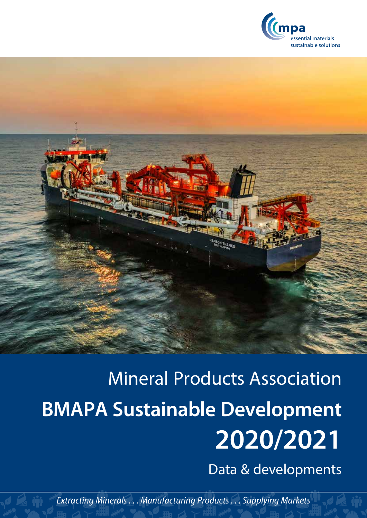



# Mineral Products Association **BMAPA Sustainable Development 2020/2021**

Data & developments

*Extracting Minerals . . . Manufacturing Products . . . Supplying Markets*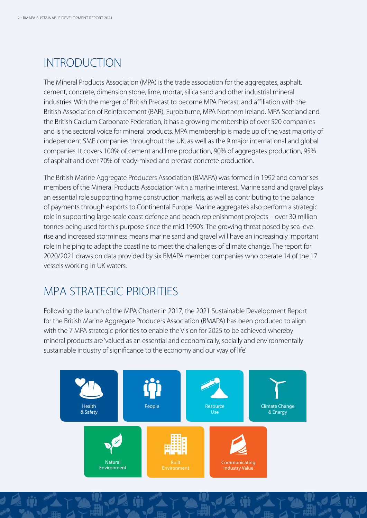# INTRODUCTION

The Mineral Products Association (MPA) is the trade association for the aggregates, asphalt, cement, concrete, dimension stone, lime, mortar, silica sand and other industrial mineral industries. With the merger of British Precast to become MPA Precast, and affiliation with the British Association of Reinforcement (BAR), Eurobitume, MPA Northern Ireland, MPA Scotland and the British Calcium Carbonate Federation, it has a growing membership of over 520 companies and is the sectoral voice for mineral products. MPA membership is made up of the vast majority of independent SME companies throughout the UK, as well as the 9 major international and global companies. It covers 100% of cement and lime production, 90% of aggregates production, 95% of asphalt and over 70% of ready-mixed and precast concrete production.

The British Marine Aggregate Producers Association (BMAPA) was formed in 1992 and comprises members of the Mineral Products Association with a marine interest. Marine sand and gravel plays an essential role supporting home construction markets, as well as contributing to the balance of payments through exports to Continental Europe. Marine aggregates also perform a strategic role in supporting large scale coast defence and beach replenishment projects – over 30 million tonnes being used for this purpose since the mid 1990's. The growing threat posed by sea level rise and increased storminess means marine sand and gravel will have an increasingly important role in helping to adapt the coastline to meet the challenges of climate change. The report for 2020/2021 draws on data provided by six BMAPA member companies who operate 14 of the 17 vessels working in UK waters.

# MPA STRATEGIC PRIORITIES

Following the launch of the MPA Charter in 2017, the 2021 Sustainable Development Report for the British Marine Aggregate Producers Association (BMAPA) has been produced to align with the 7 MPA strategic priorities to enable the Vision for 2025 to be achieved whereby mineral products are 'valued as an essential and economically, socially and environmentally sustainable industry of significance to the economy and our way of life'.

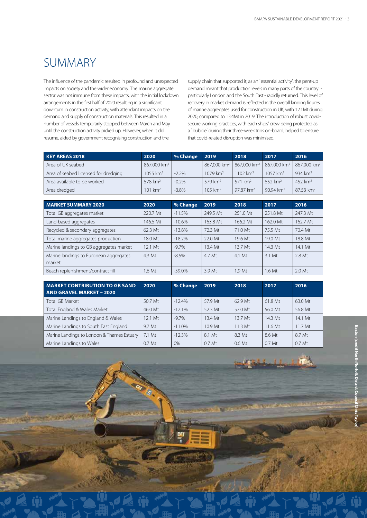## SUMMARY

The influence of the pandemic resulted in profound and unexpected impacts on society and the wider economy. The marine aggregate sector was not immune from these impacts, with the initial lockdown arrangements in the first half of 2020 resulting in a significant downturn in construction activity, with attendant impacts on the demand and supply of construction materials. This resulted in a number of vessels temporarily stopped between March and May until the construction activity picked up. However, when it did resume, aided by government recognising construction and the

supply chain that supported it, as an `essential activity', the pent-up demand meant that production levels in many parts of the country particularly London and the South East - rapidly returned. This level of recovery in market demand is reflected in the overall landing figures of marine aggregates used for construction in UK, with 12.1Mt during 2020, compared to 13.4Mt in 2019. The introduction of robust covidsecure working practices, with each ships' crew being protected as a `bubble' during their three-week trips on-board, helped to ensure that covid-related disruption was minimised.

| <b>KEY AREAS 2018</b>                | 2020                    | % Change | 2019                      | 2018                      | 2017                      | 2016                      |
|--------------------------------------|-------------------------|----------|---------------------------|---------------------------|---------------------------|---------------------------|
| Area of UK seabed                    | 867,000 km <sup>2</sup> |          | $867,000$ km <sup>2</sup> | $867,000$ km <sup>2</sup> | $867,000$ km <sup>2</sup> | $867,000$ km <sup>2</sup> |
| Area of seabed licensed for dredging | 1055 $km2$              | $-2.2%$  | $1079$ km <sup>2</sup>    | $1102$ km <sup>2</sup>    | $1057$ km <sup>2</sup>    | 934 $km^2$                |
| Area available to be worked          | $578$ km <sup>2</sup>   | $-0.2\%$ | $579$ km <sup>2</sup>     | 571 km <sup>2</sup>       | 552 km <sup>2</sup>       | 452 $km^2$                |
| Area dredged                         | 101 km <sup>2</sup>     | $-3.8\%$ | $105 \text{ km}^2$        | 97.87 km <sup>2</sup>     | $90.94 \text{ km}^2$      | $87.53$ km <sup>2</sup>   |

| <b>MARKET SUMMARY 2020</b>                       | 2020     | % Change | 2019     | 2018                | 2017     | 2016     |
|--------------------------------------------------|----------|----------|----------|---------------------|----------|----------|
| Total GB aggregates market                       | 220.7 Mt | $-11.5%$ | 249.5 Mt | 251.0 Mt            | 251.8 Mt | 247.3 Mt |
| Land-based aggregates                            | 146.5 Mt | $-10.6%$ | 163.8 Mt | 166.2 Mt            | 162.0 Mt | 162.7 Mt |
| Recycled & secondary aggregates                  | 62.3 Mt  | $-13.8%$ | 72.3 Mt  | 71.0 Mt             | 75.5 Mt  | 70.4 Mt  |
| Total marine aggregates production               | 18.0 Mt  | $-18.2%$ | 22.0 Mt  | 19.6 Mt             | 19.0 Mt  | 18.8 Mt  |
| Marine landings to GB aggregates market          | 12.1 Mt  | $-9.7\%$ | 13.4 Mt  | $13.7 \mathrm{M}$ t | 14.3 Mt  | 14.1 Mt  |
| Marine landings to European aggregates<br>market | $4.3$ Mt | $-8.5%$  | 4.7 Mt   | $4.1$ Mt            | 3.1 Mt   | $2.8$ Mt |
| Beach replenishment/contract fill                | 1.6 Mt   | $-59.0%$ | 3.9 Mt   | 1.9 <sub>Mt</sub>   | 1.6 Mt   | 2.0 Mt   |

| <b>MARKET CONTRIBUTION TO GB SAND</b><br><b>AND GRAVEL MARKET - 2020</b> | 2020              | % Change | 2019              | 2018                | 2017      | 2016    |
|--------------------------------------------------------------------------|-------------------|----------|-------------------|---------------------|-----------|---------|
| <b>Total GB Market</b>                                                   | 50.7 Mt           | $-12.4%$ | 57.9 Mt           | 62.9 Mt             | 61.8 Mt   | 63.0 Mt |
| Total England & Wales Market                                             | 46.0 Mt           | $-12.1%$ | 52.3 Mt           | 57.0 Mt             | 56.0 Mt   | 56.8 Mt |
| Marine Landings to England & Wales                                       | 12.1 Mt           | $-9.7\%$ | $13.4$ Mt         | $13.7 \mathrm{M}$ t | $14.3$ Mt | 14.1 Mt |
| Marine Landings to South East England                                    | 9.7 Mt            | $-11.0%$ | $10.9$ Mt         | $11.3$ Mt           | 11.6 Mt   | 11.7 Mt |
| Marine Landings to London & Thames Estuary                               | 7.1 Mt            | $-12.3%$ | 8.1 Mt            | 8.3 Mt              | 8.6 Mt    | 8.7 Mt  |
| Marine Landings to Wales                                                 | 0.7 <sub>Mt</sub> | 0%       | 0.7 <sub>Mt</sub> | $0.6$ Mt            | 0.7 Mt    | 0.7 Mt  |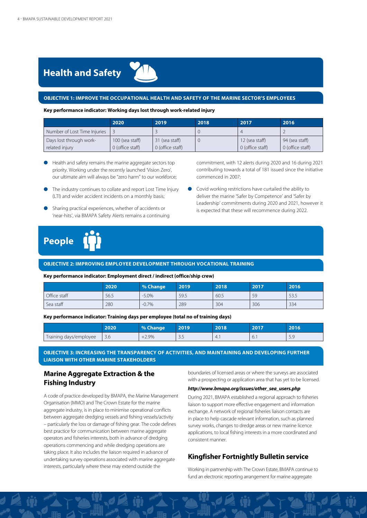

#### **OBJECTIVE 1: IMPROVE THE OCCUPATIONAL HEALTH AND SAFETY OF THE MARINE SECTOR'S EMPLOYEES**

#### **Key performance indicator: Working days lost through work-related injury**

|                              | 2020             | 2019             | 2018 | 2017             | 2016             |
|------------------------------|------------------|------------------|------|------------------|------------------|
| Number of Lost Time Injuries |                  |                  |      |                  |                  |
| Days lost through work-      | 100 (sea staff)  | 31 (sea staff)   |      | 12 (sea staff)   | 94 (sea staff)   |
| related injury               | 0 (office staff) | 0 (office staff) |      | 0 (office staff) | 0 (office staff) |

- **e** Health and safety remains the marine aggregate sectors top priority. Working under the recently launched 'Vision Zero', our ultimate aim will always be "zero harm" to our workforce;
- **The industry continues to collate and report Lost Time Injury** (LTI) and wider accident incidents on a monthly basis;
- l Sharing practical experiences, whether of accidents or 'near-hits', via BMAPA Safety Alerts remains a continuing

commitment, with 12 alerts during 2020 and 16 during 2021 contributing towards a total of 181 issued since the initiative commenced in 2007;

**Covid working restrictions have curtailed the ability to** deliver the marine 'Safer by Competence' and 'Safer by Leadership' commitments during 2020 and 2021, however it is expected that these will recommence during 2022.



#### **OBJECTIVE 2: IMPROVING EMPLOYEE DEVELOPMENT THROUGH VOCATIONAL TRAINING**

#### **Key performance indicator: Employment direct / indirect (office/ship crew)**

|              | 2020 | % Change | 2019 | 2018 | 2017 | 2016 |
|--------------|------|----------|------|------|------|------|
| Office staff | 56.5 | $-5.0\%$ | 59.5 | 60.5 | 59   | 53.5 |
| Sea staff    | 280  | $-0.7%$  | 289  | 304  | 306  | 334  |

#### **Key performance indicator: Training days per employee (total no of training days)**

|                        | 2020          | % Change      | 2019                 | 2018 | 2017 | 2016                    |
|------------------------|---------------|---------------|----------------------|------|------|-------------------------|
| Training days/employee | $\sim$<br>3.6 | $-2.9%$<br>-- | $\sim$ $\sim$<br>ر.ر | ⊥    | 6.   | $\Gamma$ $\cap$<br>ت. ب |

**OBJECTIVE 3: INCREASING THE TRANSPARENCY OF ACTIVITIES, AND MAINTAINING AND DEVELOPING FURTHER LIAISON WITH OTHER MARINE STAKEHOLDERS** 

#### **Marine Aggregate Extraction & the Fishing Industry**

A code of practice developed by BMAPA, the Marine Management Organisation (MMO) and The Crown Estate for the marine aggregate industry, is in place to minimise operational conflicts between aggregate dredging vessels and fishing vessels/activity – particularly the loss or damage of fishing gear. The code defines best practice for communication between marine aggregate operators and fisheries interests, both in advance of dredging operations commencing and while dredging operations are taking place. It also includes the liaison required in advance of undertaking survey operations associated with marine aggregate interests, particularly where these may extend outside the

boundaries of licensed areas or where the surveys are associated with a prospecting or application area that has yet to be licensed.

#### *http://www.bmapa.org/issues/other\_sea\_users.php*

During 2021, BMAPA established a regional approach to fisheries liaison to support more effective engagement and information exchange. A network of regional fisheries liaison contacts are in place to help cascade relevant information, such as planned survey works, changes to dredge areas or new marine licence applications, to local fishing interests in a more coordinated and consistent manner.

#### **Kingfisher Fortnightly Bulletin service**

Working in partnership with The Crown Estate, BMAPA continue to fund an electronic reporting arrangement for marine aggregate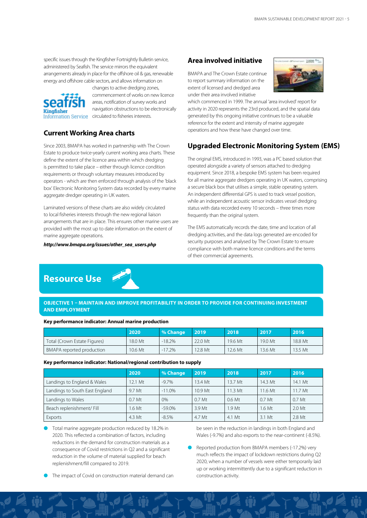specific issues through the Kingfisher Fortnightly Bulletin service, administered by Seafish. The service mirrors the equivalent arrangements already in place for the offshore oil & gas, renewable energy and offshore cable sectors, and allows information on



changes to active dredging zones, [c](https://kingfisherbulletin.org/ )ommencement of works on new licence areas, notification of survey works and navigation obstructions to be electronically Information Service circulated to fisheries interests.

#### **Current Working Area charts**

Since 2003, BMAPA has worked in partnership with The Crown Estate to produce twice-yearly current working area charts. These define the extent of the licence area within which dredging is permitted to take place – either through licence condition requirements or through voluntary measures introduced by operators - which are then enforced through analysis of the 'black box' Electronic Monitoring System data recorded by every marine aggregate dredger operating in UK waters.

Laminated versions of these charts are also widely circulated to local fisheries interests through the new regional liaison arrangements that are in place. This ensures other marine users are provided with the most up to date information on the extent of marine aggregate operations.

#### *http://www.bmapa.org/issues/other\_sea\_users.php*

#### **Area involved initiative**

BMAPA and The Crown Estate continue to report summary information on the extent of licensed and dredged area under their area involved initiative



which commenced in 1999. The annual 'area involved' report for activity in 2020 represents the 23rd produced, and the spatial data generated by this ongoing initiative continues to be a valuable reference for the extent and intensity of marine aggregate operations and how these have changed over time.

#### **Upgraded Electronic Monitoring System (EMS)**

The original EMS, introduced in 1993, was a PC based solution that operated alongside a variety of sensors attached to dredging equipment. Since 2018, a bespoke EMS system has been required for all marine aggregate dredgers operating in UK waters, comprising a secure black box that utilises a simple, stable operating system. An independent differential GPS is used to track vessel position, while an independent acoustic sensor indicates vessel dredging status with data recorded every 10 seconds – three times more frequently than the original system.

The EMS automatically records the date, time and location of all dredging activities, and the data logs generated are encoded for security purposes and analysed by The Crown Estate to ensure compliance with both marine licence conditions and the terms of their commercial agreements.

### **Resource Use**



**OBJECTIVE 1 – MAINTAIN AND IMPROVE PROFITABILITY IN ORDER TO PROVIDE FOR CONTINUING INVESTMENT AND EMPLOYMENT**

#### **Key performance indicator: Annual marine production**

|                                  | 2020    | % Change | 2019    | 2018    | 2017      | 2016    |
|----------------------------------|---------|----------|---------|---------|-----------|---------|
| Total (Crown Estate Figures)     | 18.0 Mt | $-18.2%$ | 22.0 Mt | 19.6 Mt | 19.0 Mt   | 18.8 Mt |
| <b>BMAPA</b> reported production | 10.6 Mt | $-17.2%$ | 12.8 Mt | 12.6 Mt | $13.6$ Mt | 13.5 Mt |

**Key performance indicator: National/regional contribution to supply**

|                                | 2020              | % Change  | 2019               | 2018              | 2017              | 2016              |
|--------------------------------|-------------------|-----------|--------------------|-------------------|-------------------|-------------------|
| Landings to England & Wales    | 12.1 Mt           | $-9.7%$   | 13.4 Mt            | 13.7 Mt           | 14.3 Mt           | 14.1 Mt           |
| Landings to South East England | 9.7 Mt            | $-11.0%$  | 10.9 <sub>Mt</sub> | $11.3 \text{ Mt}$ | 11.6 Mt           | 11.7 Mt           |
| Landings to Wales              | 0.7 <sub>Mt</sub> | $0\%$     | 0.7 <sub>Mt</sub>  | $0.6$ Mt          | 0.7 <sub>Mt</sub> | 0.7 <sub>Mt</sub> |
| Beach replenishment/ Fill      | 1.6 Mt            | $-59.0\%$ | 3.9 Mt             | 1.9 <sub>Mt</sub> | $1.6$ Mt          | 2.0 Mt            |
| Exports                        | 4.3 Mt            | $-8.5%$   | 4.7 Mt             | 4.1 Mt            | 3.1 Mt            | 2.8 Mt            |

**lacks** Total marine aggregate production reduced by 18.2% in 2020. This reflected a combination of factors, including reductions in the demand for construction materials as a consequence of Covid restrictions in Q2 and a significant reduction in the volume of material supplied for beach replenishment/fill compared to 2019.

be seen in the reduction in landings in both England and Wales (-9.7%) and also exports to the near-continent (-8.5%).

Reported production from BMAPA members (-17.2%) very much reflects the impact of lockdown restrictions during Q2 2020, when a number of vessels were either temporarily laid up or working intermittently due to a significant reduction in construction activity.

The impact of Covid on construction material demand can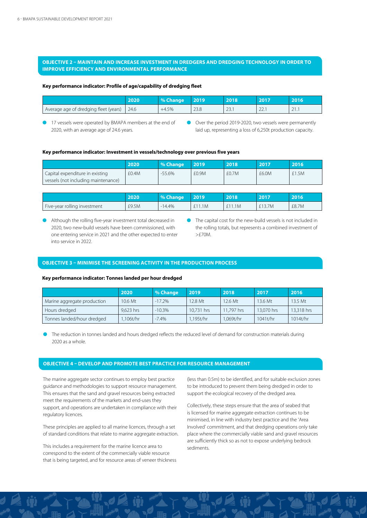#### **OBJECTIVE 2 – MAINTAIN AND INCREASE INVESTMENT IN DREDGERS AND DREDGING TECHNOLOGY IN ORDER TO IMPROVE EFFICIENCY AND ENVIRONMENTAL PERFORMANCE**

#### **Key performance indicator: Profile of age/capability of dredging fleet**

|                                         | 2020 | % Change | 2019                  | 2018                 | 2017                 | 2016 <sup>1</sup>                     |
|-----------------------------------------|------|----------|-----------------------|----------------------|----------------------|---------------------------------------|
| . Average age of dredging fleet (years) | 24.6 | $+4.5%$  | $\cap$ $\cap$<br>29.0 | $\cap$<br>$\angle$ . | $\sim$ $\sim$<br>LL. | $\sim$ $\sim$<br>$\sim$ $\sim$ $\sim$ |

17 vessels were operated by BMAPA members at the end of 2020, with an average age of 24.6 years.

l Over the period 2019-2020, two vessels were permanently laid up, representing a loss of 6,250t production capacity.

#### **Key performance indicator: Investment in vessels/technology over previous five years**

|                                     | 2020  | % Change  | 2019  | 2018  | 2017  | 2016  |
|-------------------------------------|-------|-----------|-------|-------|-------|-------|
| Capital expenditure in existing     | £0.4M | $-55.6\%$ | £0.9M | f0.7M | £6.0M | £1.5M |
| vessels (not including maintenance) |       |           |       |       |       |       |

|                              | 2020  | <sup>1</sup> % Change | 2019 | 2018 | 2017   | 2016  |
|------------------------------|-------|-----------------------|------|------|--------|-------|
| Five-year rolling investment | £9.5M | 14.4%                 | .1M  | 1.1M | £13.7M | £8.7M |

Although the rolling five-year investment total decreased in 2020, two new-build vessels have been commissioned, with one entering service in 2021 and the other expected to enter into service in 2022.

 $\bullet$  The capital cost for the new-build vessels is not included in the rolling totals, but represents a combined investment of >£70M.

#### **OBJECTIVE 3 – MINIMISE THE SCREENING ACTIVITY IN THE PRODUCTION PROCESS**

#### **Key performance indicator: Tonnes landed per hour dredged**

|                             | 2020      | % Change | 2019       | 2018       | 2017       | 2016         |
|-----------------------------|-----------|----------|------------|------------|------------|--------------|
| Marine aggregate production | 10.6 Mt   | $-17.2%$ | 2.8 Mt     | 12.6 Mt    | 13.6 Mt    | $13.5 \, Mt$ |
| Hours dredged               | 9.623 hrs | $-10.3%$ | 10.731 hrs | 11.797 hrs | 13,070 hrs | 13,318 hrs   |
| Tonnes landed/hour dredged  | .106t/hr  | $-7.4\%$ | .195t/hr   | 1.069t/hr  | 1041t/hr   | 1014t/hr     |

The reduction in tonnes landed and hours dredged reflects the reduced level of demand for construction materials during 2020 as a whole.

#### **OBJECTIVE 4 – DEVELOP AND PROMOTE BEST PRACTICE FOR RESOURCE MANAGEMENT**

The marine aggregate sector continues to employ best practice guidance and methodologies to support resource management. This ensures that the sand and gravel resources being extracted meet the requirements of the markets and end-uses they support, and operations are undertaken in compliance with their regulatory licences.

These principles are applied to all marine licences, through a set of standard conditions that relate to marine aggregate extraction.

This includes a requirement for the marine licence area to correspond to the extent of the commercially viable resource that is being targeted, and for resource areas of veneer thickness (less than 0.5m) to be identified, and for suitable exclusion zones to be introduced to prevent them being dredged in order to support the ecological recovery of the dredged area.

Collectively, these steps ensure that the area of seabed that is licensed for marine aggregate extraction continues to be minimised, in line with industry best practice and the 'Area Involved' commitment, and that dredging operations only take place where the commercially viable sand and gravel resources are sufficiently thick so as not to expose underlying bedrock sediments.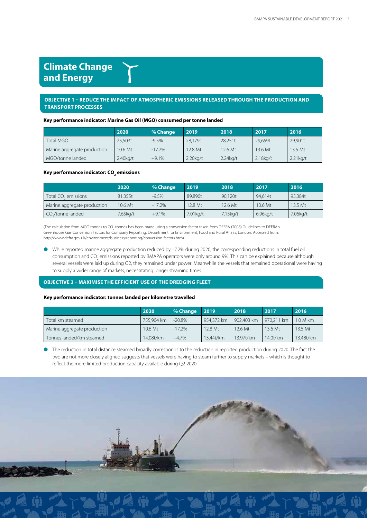### **Climate Change and Energy**

#### **OBJECTIVE 1 – REDUCE THE IMPACT OF ATMOSPHERIC EMISSIONS RELEASED THROUGH THE PRODUCTION AND TRANSPORT PROCESSES**

#### **Key performance indicator: Marine Gas Oil (MGO) consumed per tonne landed**

|                             | 2020                | % Change | 2019        | 2018        | 2017        | 2016                |
|-----------------------------|---------------------|----------|-------------|-------------|-------------|---------------------|
| Total MGO                   | 25.503t             | $-9.5%$  | 28.179t     | 28.251t     | 29.659t     | 29.901t             |
| Marine aggregate production | $10.6 \mathrm{M}$ t | $-17.2%$ | $12.8$ Mt   | $12.6$ Mt   | 13.6 Mt     | $13.5 \, \text{Mt}$ |
| MGO/tonne landed            | $2.40$ kg/t         | $+9.1%$  | $2.20$ kg/t | $2.24$ kg/t | $2.18$ kg/t | $2.21$ kg/t         |

#### Key performance indicator: CO<sub>2</sub> emissions

|                                 | 2020     | % Change | 2019     | 2018      | 2017     | 2016                |
|---------------------------------|----------|----------|----------|-----------|----------|---------------------|
| Total CO <sub>2</sub> emissions | 81,355t  | $-9.5%$  | 89,890t  | 90.120t   | 94.614t  | 95.384t             |
| Marine aggregate production     | 10.6 Mt  | $-17.2%$ | 12.8 Mt  | $12.6$ Mt | 13.6 Mt  | $13.5 \, \text{Mt}$ |
| CO /tonne landed                | 7.65kg/t | $+9.1%$  | 7.01kg/t | 7.15kg/t  | 6.96kg/t | 7.06kg/t            |

(The calculation from MGO tonnes to CO<sub>2</sub> tonnes has been made using a conversion factor taken from DEFRA (2008) Guidelines to DEFRA's Greenhouse Gas Conversion Factors for Company Reporting. Department for Environment, Food and Rural Affairs, London. Accessed from: http://www.defra.gov.uk/environment/business/reporting/conversion-factors.htm)

l While reported marine aggregate production reduced by 17.2% during 2020, the corresponding reductions in total fuel oil consumption and CO<sub>2</sub> emissions reported by BMAPA operators were only around 9%. This can be explained because although several vessels were laid up during Q2, they remained under power. Meanwhile the vessels that remained operational were having to supply a wider range of markets, necessitating longer steaming times.

#### **OBJECTIVE 2 – MAXIMISE THE EFFICIENT USE OF THE DREDGING FLEET**

#### **Key performance indicator: tonnes landed per kilometre travelled**

|                             | 2020       | % Change | 2019       | 2018       | 2017               | 2016      |
|-----------------------------|------------|----------|------------|------------|--------------------|-----------|
| Total km steamed            | 755,904 km | $-20.8%$ | 954.372 km | 902.403 km | 970.211 km         | 1.0 M km  |
| Marine aggregate production | $10.6$ Mt  | $-17.2%$ | 12.8 Mt    | $12.6$ Mt  | $13.6 \mathrm{Mt}$ | 13.5 Mt   |
| Tonnes landed/km steamed    | 14.08t/km  | $+4.7%$  | 13.44t/km  | 13.97t/km  | 14.0t/km           | 13.48t/km |

l The reduction in total distance steamed broadly corresponds to the reduction in reported production during 2020. The fact the two are not more closely aligned suggests that vessels were having to steam further to supply markets – which is thought to reflect the more limited production capacity available during Q2 2020.

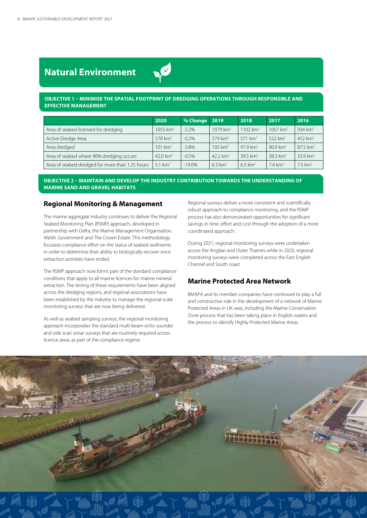### **Natural Environment**

#### **OBJECTIVE 1 – MINIMISE THE SPATIAL FOOTPRINT OF DREDGING OPERATIONS THROUGH RESPONSIBLE AND EFFECTIVE MANAGEMENT**

|                                                 | 2020                | % Change  | 2019                   | 2018                | 2017                | 2016                  |
|-------------------------------------------------|---------------------|-----------|------------------------|---------------------|---------------------|-----------------------|
| Area of seabed licensed for dredging            | 1055 $km^2$         | $-2.2%$   | $1079$ km <sup>2</sup> | 1102 $km^2$         | 1057 $km^2$         | 934 $km^2$            |
| Active Dredge Area                              | $578 \text{ km}^2$  | $-0.2\%$  | $579 \text{ km}^2$     | 571 km <sup>2</sup> | 522 km <sup>2</sup> | 452 km <sup>2</sup>   |
| Area dredged                                    | 101 km <sup>2</sup> | $-3.8\%$  | $105 \text{ km}^2$     | $97.9 \text{ km}^2$ | $90.9 \text{ km}^2$ | 87.5 km <sup>2</sup>  |
| Area of seabed where 90% dredging occurs        | 42.0 $km^2$         | $-0.5%$   | 42.2 $km^2$            | 39.5 $km^2$         | $38.3 \text{ km}^2$ | 33.9 $km^2$           |
| Area of seabed dredged for more than 1.25 hours | 5.1 $km2$           | $-19.0\%$ | $6.3 \text{ km}^2$     | $6.3 \text{ km}^2$  | $7.4 \text{ km}^2$  | $7.5$ km <sup>2</sup> |

#### **OBJECTIVE 2 – MAINTAIN AND DEVELOP THE INDUSTRY CONTRIBUTION TOWARDS THE UNDERSTANDING OF MARINE SAND AND GRAVEL HABITATS**

#### **Regional Monitoring & Management**

The marine aggregate industry continues to deliver the Regional Seabed Monitoring Plan (RSMP) approach, developed in partnership with Defra, the Marine Management Organisation, Welsh Government and The Crown Estate. This methodology focusses compliance effort on the status of seabed sediments in order to determine their ability to biologically recover once extraction activities have ended.

The RSMP approach now forms part of the standard compliance conditions that apply to all marine licences for marine mineral extraction. The timing of these requirements have been aligned across the dredging regions, and regional associations have been established by the industry to manage the regional-scale monitoring surveys that are now being delivered.

As well as seabed sampling surveys, the regional monitoring approach incorporates the standard multi-beam echo sounder and side scan sonar surveys that are routinely required across licence areas as part of the compliance regime.

Regional surveys deliver a more consistent and scientifically robust approach to compliance monitoring, and the RSMP process has also demonstrated opportunities for significant savings in time, effort and cost through the adoption of a more coordinated approach.

During 2021, regional monitoring surveys were undertaken across the Anglian and Outer Thames while in 2020, regional monitoring surveys were completed across the East English Channel and South coast.

#### **Marine Protected Area Network**

BMAPA and its member companies have continued to play a full and constructive role in the development of a network of Marine Protected Areas in UK seas, including the Marine Conservation Zone process that has been taking place in English waters and the process to identify Highly Protected Marine Areas.

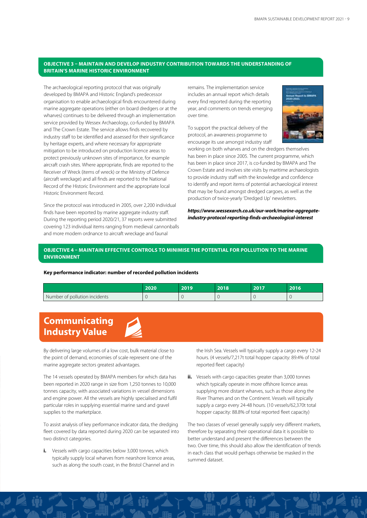#### **OBJECTIVE 3 – MAINTAIN AND DEVELOP INDUSTRY CONTRIBUTION TOWARDS THE UNDERSTANDING OF BRITAIN'S MARINE HISTORIC ENVIRONMENT**

The archaeological reporting protocol that was originally developed by BMAPA and Historic England's predecessor organisation to enable archaeological finds encountered during marine aggregate operations (either on board dredgers or at the wharves) continues to be delivered through an implementation service provided by Wessex Archaeology, co-funded by BMAPA and The Crown Estate. The service allows finds recovered by industry staff to be identified and assessed for their significance by heritage experts, and where necessary for appropriate mitigation to be introduced on production licence areas to protect previously unknown sites of importance, for example aircraft crash sites. Where appropriate, finds are reported to the Receiver of Wreck (items of wreck) or the Ministry of Defence (aircraft wreckage) and all finds are reported to the National Record of the Historic Environment and the appropriate local Historic Environment Record.

Since the protocol was introduced in 2005, over 2,200 individual finds have been reported by marine aggregate industry staff. During the reporting period 2020/21, 37 reports were submitted covering 123 individual items ranging from medieval cannonballs and more modern ordnance to aircraft wreckage and faunal

remains. The implementation service includes an annual report which details every find reported during the reporting year, and comments on trends emerging over time.

To support the practical delivery of the protocol, an awareness programme to encourage its use amongst industry staff



working on both wharves and on the dredgers themselves has been in place since 2005. The current programme, which has been in place since 2017, is co-funded by BMAPA and The Crown Estate and involves site visits by maritime archaeologists to provide industry staff with the knowledge and confidence to identify and report items of potential archaeological interest that may be found amongst dredged cargoes, as well as the production of twice-yearly 'Dredged Up' newsletters.

*https://www.wessexarch.co.uk/our-work/marine-aggregateindustry-protocol-reporting-finds-archaeological-interest* 

#### **OBJECTIVE 4 – MAINTAIN EFFECTIVE CONTROLS TO MINIMISE THE POTENTIAL FOR POLLUTION TO THE MARINE ENVIRONMENT**

#### **Key performance indicator: number of recorded pollution incidents**

|                               | 2020 | 2019 | 2018 | 2017 | 2016 |
|-------------------------------|------|------|------|------|------|
| Number of pollution incidents |      |      |      |      |      |

### **Communicating Industry Value**



By delivering large volumes of a low cost, bulk material close to the point of demand, economies of scale represent one of the marine aggregate sectors greatest advantages.

The 14 vessels operated by BMAPA members for which data has been reported in 2020 range in size from 1,250 tonnes to 10,000 tonnes capacity, with associated variations in vessel dimensions and engine power. All the vessels are highly specialised and fulfil particular roles in supplying essential marine sand and gravel supplies to the marketplace.

To assist analysis of key performance indicator data, the dredging fleet covered by data reported during 2020 can be separated into two distinct categories.

**i.** Vessels with cargo capacities below 3,000 tonnes, which typically supply local wharves from nearshore licence areas, such as along the south coast, in the Bristol Channel and in

the Irish Sea. Vessels will typically supply a cargo every 12-24 hours. (4 vessels/7,217t total hopper capacity: 89.4% of total reported fleet capacity)

**ii.** Vessels with cargo capacities greater than 3,000 tonnes which typically operate in more offshore licence areas supplying more distant wharves, such as those along the River Thames and on the Continent. Vessels will typically supply a cargo every 24-48 hours. (10 vessels/62,370t total hopper capacity: 88.8% of total reported fleet capacity)

The two classes of vessel generally supply very different markets, therefore by separating their operational data it is possible to better understand and present the differences between the two. Over time, this should also allow the identification of trends in each class that would perhaps otherwise be masked in the summed dataset.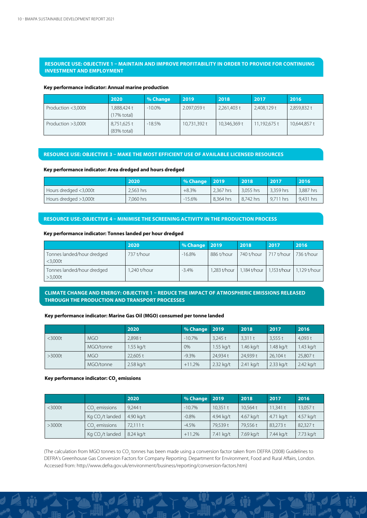#### **RESOURCE USE: OBJECTIVE 1 – MAINTAIN AND IMPROVE PROFITABILITY IN ORDER TO PROVIDE FOR CONTINUING INVESTMENT AND EMPLOYMENT**

#### **Key performance indicator: Annual marine production**

|                    | 2020                                 | % Change  | 2019         | 2018         | 2017         | 2016         |
|--------------------|--------------------------------------|-----------|--------------|--------------|--------------|--------------|
| Production <3,000t | .888.424 t<br>(17% total)            | $-10.0\%$ | 2.097.059 t  | 2,261,403 t  | 2,408,129 t  | 2,859,832 t  |
| Production >3,000t | 8,751,625 t<br>$(83% \text{ total})$ | $-18.5%$  | 10,731,392 t | 10,346,369 t | 11,192,675 t | 10,644,857 t |

#### **RESOURCE USE: OBJECTIVE 3 – MAKE THE MOST EFFICIENT USE OF AVAILABLE LICENSED RESOURCES**

#### **Key performance indicator: Area dredged and hours dredged**

|                       | 2020      | % Change   2019 |           | 2018      | 2017      | 2016      |
|-----------------------|-----------|-----------------|-----------|-----------|-----------|-----------|
| Hours dredged <3,000t | 2.563 hrs | $+8.3%$         | 2.367 hrs | 3.055 hrs | 3.359 hrs | 3.887 hrs |
| Hours dredged >3,000t | 7.060 hrs | $-15.6%$        | 8,364 hrs | 8.742 hrs | 9.711 hrs | 9.431 hrs |

#### **RESOURCE USE: OBJECTIVE 4 – MINIMISE THE SCREENING ACTIVITY IN THE PRODUCTION PROCESS**

#### **Key performance indicator: Tonnes landed per hour dredged**

|                                          | 2020         | % Change   2019 |              | 2018                        | 2017       | 2016                                                |
|------------------------------------------|--------------|-----------------|--------------|-----------------------------|------------|-----------------------------------------------------|
| Tonnes landed/hour dredged<br>$<$ 3.000t | 737 t/hour   | $-16.8%$        | 886 t/hour   | 740 t/hour                  | 717 t/hour | 736 t/hour                                          |
| Tonnes landed/hour dredged<br>>3,000t    | 1,240 t/hour | $-3.4%$         | 1,283 t/hour | 1,184 t/hour   1,153 t/hour |            | $\frac{1.129 \text{ t/hour}}{1.129 \text{ t/hour}}$ |

**CLIMATE CHANGE AND ENERGY: OBJECTIVE 1 – REDUCE THE IMPACT OF ATMOSPHERIC EMISSIONS RELEASED THROUGH THE PRODUCTION AND TRANSPORT PROCESSES**

#### **Key performance indicator: Marine Gas Oil (MGO) consumed per tonne landed**

|           |            | 2020        | % Change | 2019      | 2018      | 2017      | 2016      |
|-----------|------------|-------------|----------|-----------|-----------|-----------|-----------|
| $<$ 3000t | <b>MGO</b> | 2.898 t     | $-10.7%$ | 3.245t    | 3.311t    | 3.555t    | 4.093 t   |
|           | MGO/tonne  | 1.55 kg/t   | $0\%$    | 1.55 kg/t | 1.46 kg/t | 1.48 kg/t | 1.43 kg/t |
| >3000t    | <b>MGO</b> | 22,605 t    | $-9.3\%$ | 24.934 t  | 24.939 t  | 26.104 t  | 25,807 t  |
|           | MGO/tonne  | $2.58$ kg/t | $+11.2%$ | 2.32 kg/t | 2.41 kg/t | 2.33 kg/t | 2.42 kg/t |

#### Key performance indicator: CO<sub>2</sub> emissions

|           |                              | 2020      | % Change | 2019      | 2018      | 2017        | 2016      |
|-----------|------------------------------|-----------|----------|-----------|-----------|-------------|-----------|
| $<$ 3000t | CO <sub>s</sub> emissions    | 9.244 t   | $-10.7%$ | 10.351t   | 10.564 t  | 11.341 $t$  | 13,057 t  |
|           | Kg CO <sub>1</sub> /t landed | 4.90 kg/t | $-0.8%$  | 4.94 kg/t | 4.67 kg/t | $4.71$ kg/t | 4.57 kg/t |
| >3000t    | CO <sub>2</sub> emissions    | 72.111t   | $-4.5%$  | 79.539 t  | 79.556 t  | 83.273 t    | 82,327t   |
|           | Kg CO <sub>1</sub> /t landed | 8.24 kg/t | $+11.2%$ | 7.41 kg/t | 7.69 kg/t | 7.44 kg/t   | 7.73 kg/t |

(The calculation from MGO tonnes to CO<sub>2</sub> tonnes has been made using a conversion factor taken from DEFRA (2008) Guidelines to DEFRA's Greenhouse Gas Conversion Factors for Company Reporting. Department for Environment, Food and Rural Affairs, London. Accessed from: http://www.defra.gov.uk/environment/business/reporting/conversion-factors.htm)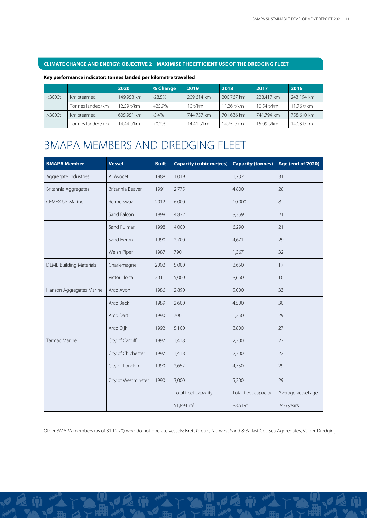#### **CLIMATE CHANGE AND ENERGY: OBJECTIVE 2 – MAXIMISE THE EFFICIENT USE OF THE DREDGING FLEET**

#### **Key performance indicator: tonnes landed per kilometre travelled**

|           |                  | 2020       | % Change | 2019       | 2018       | 2017       | 2016       |
|-----------|------------------|------------|----------|------------|------------|------------|------------|
| $<$ 3000t | Km steamed       | 149.953 km | $-28.5%$ | 209.614 km | 200,767 km | 228.417 km | 243,194 km |
|           | Tonnes landed/km | 12.59 t/km | $+25.9%$ | $10$ t/km  | 11.26 t/km | 10.54 t/km | 11.76 t/km |
| $>3000t$  | Km steamed       | 605.951 km | $-5.4%$  | 744.757 km | 701,636 km | 741,794 km | 758,610 km |
|           | Fonnes landed/km | 14.44 t/km | $+0.2%$  | 14.41 t/km | 14.75 t/km | 15.09 t/km | 14.03 t/km |

# BMAPA MEMBERS AND DREDGING FLEET

| <b>BMAPA Member</b>            | <b>Vessel</b>       | <b>Built</b> | <b>Capacity (cubic metres)</b> | <b>Capacity (tonnes)</b> | <b>Age (end of 2020)</b> |
|--------------------------------|---------------------|--------------|--------------------------------|--------------------------|--------------------------|
| Aggregate Industries           | Al Avocet           | 1988         | 1,019                          | 1,732                    | 31                       |
| Britannia Aggregates           | Britannia Beaver    | 1991         | 2,775                          | 4,800                    | 28                       |
| <b>CEMEX UK Marine</b>         | Reimerswaal         | 2012         | 6,000                          | 10,000                   | 8                        |
|                                | Sand Falcon         | 1998         | 4,832                          | 8,359                    | 21                       |
|                                | Sand Fulmar         | 1998         | 4,000                          | 6,290                    | 21                       |
|                                | Sand Heron          | 1990         | 2,700                          | 4,671                    | 29                       |
|                                | Welsh Piper         | 1987         | 790                            | 1,367                    | 32                       |
| <b>DEME Building Materials</b> | Charlemagne         | 2002         | 5,000                          | 8,650                    | 17                       |
|                                | Victor Horta        | 2011         | 5,000                          | 8,650                    | 10 <sup>°</sup>          |
| Hanson Aggregates Marine       | Arco Avon           | 1986         | 2,890                          | 5,000                    | 33                       |
|                                | Arco Beck           | 1989         | 2,600                          | 4,500                    | 30                       |
|                                | Arco Dart           | 1990         | 700                            | 1,250                    | 29                       |
|                                | Arco Dijk           | 1992         | 5,100                          | 8,800                    | 27                       |
| <b>Tarmac Marine</b>           | City of Cardiff     | 1997         | 1,418                          | 2,300                    | 22                       |
|                                | City of Chichester  | 1997         | 1,418                          | 2,300                    | 22                       |
|                                | City of London      | 1990         | 2,652                          | 4,750                    | 29                       |
|                                | City of Westminster | 1990         | 3,000                          | 5,200                    | 29                       |
|                                |                     |              | Total fleet capacity           | Total fleet capacity     | Average vessel age       |
|                                |                     |              | 51,894 m <sup>3</sup>          | 88,619t                  | 24.6 years               |

Other BMAPA members (as of 31.12.20) who do not operate vessels: Brett Group, Norwest Sand & Ballast Co., Sea Aggregates, Volker Dredging